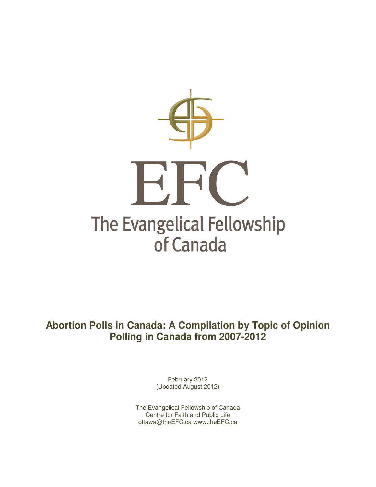

**Abortion Polls in Canada: A Compilation by Topic of Opinion Polling in Canada from 2007-2012** 

> February 2012 (Updated August 2012)

The Evangelical Fellowship of Canada Centre for Faith and Public Life ottawa@theEFC.ca www.theEFC.ca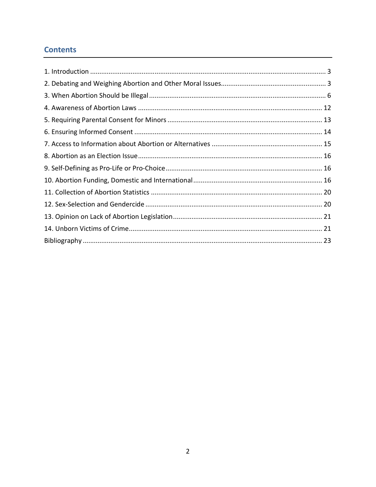# **Contents**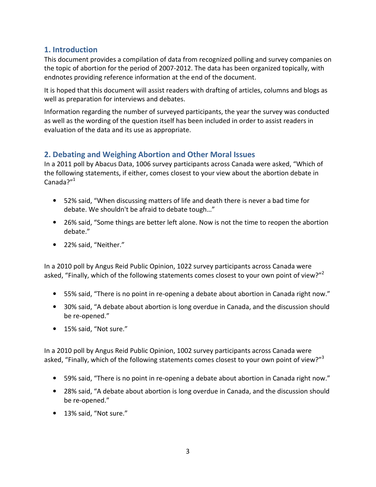### **1. Introduction**

This document provides a compilation of data from recognized polling and survey companies on the topic of abortion for the period of 2007-2012. The data has been organized topically, with endnotes providing reference information at the end of the document.

It is hoped that this document will assist readers with drafting of articles, columns and blogs as well as preparation for interviews and debates.

Information regarding the number of surveyed participants, the year the survey was conducted as well as the wording of the question itself has been included in order to assist readers in evaluation of the data and its use as appropriate.

# **2. Debating and Weighing Abortion and Other Moral Issues**

In a 2011 poll by Abacus Data, 1006 survey participants across Canada were asked, "Which of the following statements, if either, comes closest to your view about the abortion debate in Canada?"<sup>1</sup>

- 52% said, "When discussing matters of life and death there is never a bad time for debate. We shouldn't be afraid to debate tough…"
- 26% said, "Some things are better left alone. Now is not the time to reopen the abortion debate."
- 22% said, "Neither."

In a 2010 poll by Angus Reid Public Opinion, 1022 survey participants across Canada were asked, "Finally, which of the following statements comes closest to your own point of view?"

- 55% said, "There is no point in re-opening a debate about abortion in Canada right now."
- 30% said, "A debate about abortion is long overdue in Canada, and the discussion should be re-opened."
- 15% said, "Not sure."

In a 2010 poll by Angus Reid Public Opinion, 1002 survey participants across Canada were asked, "Finally, which of the following statements comes closest to your own point of view?"<sup>3</sup>

- 59% said, "There is no point in re-opening a debate about abortion in Canada right now."
- 28% said, "A debate about abortion is long overdue in Canada, and the discussion should be re-opened."
- 13% said, "Not sure."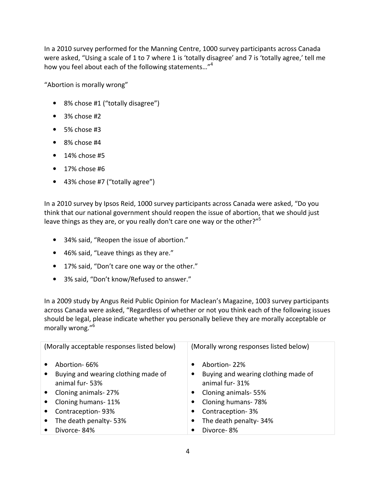In a 2010 survey performed for the Manning Centre, 1000 survey participants across Canada were asked, "Using a scale of 1 to 7 where 1 is 'totally disagree' and 7 is 'totally agree,' tell me how you feel about each of the following statements..."<sup>4</sup>

"Abortion is morally wrong"

- 8% chose #1 ("totally disagree")
- $\bullet$  3% chose #2
- 5% chose #3
- 8% chose #4
- $\bullet$  14% chose #5
- 17% chose #6
- 43% chose #7 ("totally agree")

In a 2010 survey by Ipsos Reid, 1000 survey participants across Canada were asked, "Do you think that our national government should reopen the issue of abortion, that we should just leave things as they are, or you really don't care one way or the other?"<sup>5</sup>

- 34% said, "Reopen the issue of abortion."
- 46% said, "Leave things as they are."
- 17% said, "Don't care one way or the other."
- 3% said, "Don't know/Refused to answer."

In a 2009 study by Angus Reid Public Opinion for Maclean's Magazine, 1003 survey participants across Canada were asked, "Regardless of whether or not you think each of the following issues should be legal, please indicate whether you personally believe they are morally acceptable or morally wrong."<sup>6</sup>

| (Morally acceptable responses listed below)                                        | (Morally wrong responses listed below)                                |  |
|------------------------------------------------------------------------------------|-----------------------------------------------------------------------|--|
| Abortion-66%<br>Buying and wearing clothing made of<br>$\bullet$<br>animal fur-53% | Abortion-22%<br>Buying and wearing clothing made of<br>animal fur-31% |  |
| Cloning animals-27%                                                                | Cloning animals-55%<br>$\bullet$                                      |  |
| Cloning humans-11%                                                                 | Cloning humans-78%<br>$\bullet$                                       |  |
| Contraception-93%                                                                  | Contraception-3%<br>$\bullet$                                         |  |
| The death penalty-53%                                                              | The death penalty-34%                                                 |  |
| Divorce-84%                                                                        | Divorce-8%                                                            |  |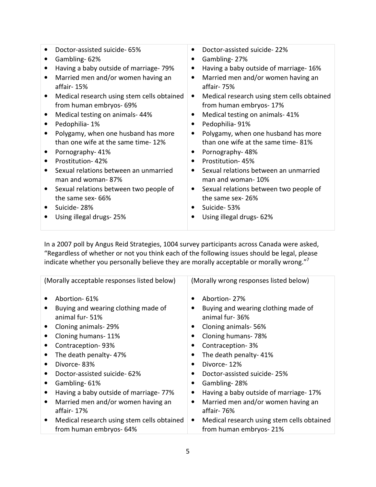| Doctor-assisted suicide- 65%                                         |           | Doctor-assisted suicide-22%                                          |  |
|----------------------------------------------------------------------|-----------|----------------------------------------------------------------------|--|
| Gambling-62%                                                         |           | Gambling-27%                                                         |  |
| Having a baby outside of marriage- 79%                               | $\bullet$ | Having a baby outside of marriage-16%                                |  |
| Married men and/or women having an<br>affair-15%                     | $\bullet$ | Married men and/or women having an<br>affair-75%                     |  |
| Medical research using stem cells obtained<br>from human embryos-69% | ٠         | Medical research using stem cells obtained<br>from human embryos-17% |  |
| Medical testing on animals-44%                                       | $\bullet$ | Medical testing on animals-41%                                       |  |
| Pedophilia-1%                                                        | $\bullet$ | Pedophilia-91%                                                       |  |
| Polygamy, when one husband has more                                  | $\bullet$ | Polygamy, when one husband has more                                  |  |
| than one wife at the same time-12%                                   |           | than one wife at the same time-81%                                   |  |
| Pornography-41%                                                      | $\bullet$ | Pornography-48%                                                      |  |
| Prostitution-42%                                                     | $\bullet$ | Prostitution-45%                                                     |  |
| Sexual relations between an unmarried<br>man and woman-87%           | $\bullet$ | Sexual relations between an unmarried<br>man and woman-10%           |  |
| Sexual relations between two people of                               |           | Sexual relations between two people of                               |  |
| the same sex-66%                                                     |           | the same sex-26%                                                     |  |
| Suicide-28%                                                          | $\bullet$ | Suicide-53%                                                          |  |
| Using illegal drugs-25%                                              | $\bullet$ | Using illegal drugs- 62%                                             |  |

In a 2007 poll by Angus Reid Strategies, 1004 survey participants across Canada were asked, "Regardless of whether or not you think each of the following issues should be legal, please indicate whether you personally believe they are morally acceptable or morally wrong."<sup>7</sup>

| (Morally acceptable responses listed below)     | (Morally wrong responses listed below)                  |
|-------------------------------------------------|---------------------------------------------------------|
| Abortion-61%                                    | Abortion-27%                                            |
| Buying and wearing clothing made of             | Buying and wearing clothing made of                     |
| animal fur-51%                                  | animal fur-36%                                          |
| Cloning animals-29%<br>$\bullet$                | Cloning animals-56%<br>$\bullet$                        |
| Cloning humans-11%                              | Cloning humans-78%                                      |
| Contraception-93%<br>$\bullet$                  | Contraception-3%                                        |
| The death penalty-47%<br>$\bullet$              | The death penalty-41%<br>$\bullet$                      |
| Divorce-83%<br>$\bullet$                        | Divorce-12%<br>٠                                        |
| Doctor-assisted suicide-62%                     | Doctor-assisted suicide-25%                             |
| Gambling-61%                                    | Gambling-28%                                            |
| Having a baby outside of marriage-77%<br>٠      | Having a baby outside of marriage-17%<br>$\bullet$      |
| Married men and/or women having an<br>٠         | Married men and/or women having an<br>٠                 |
| affair-17%                                      | affair-76%                                              |
| Medical research using stem cells obtained<br>٠ | Medical research using stem cells obtained<br>$\bullet$ |
| from human embryos- 64%                         | from human embryos-21%                                  |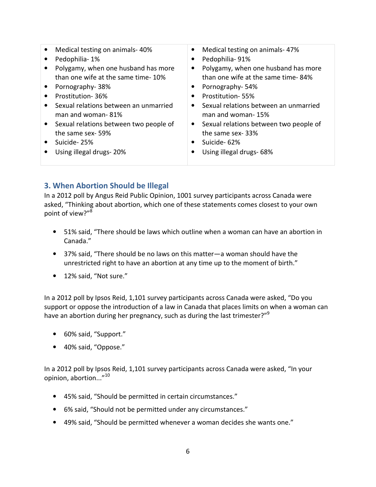• Medical testing on animals- 40% • Pedophilia- 1% • Polygamy, when one husband has more than one wife at the same time- 10% • Pornography- 38% • Prostitution- 36% • Sexual relations between an unmarried man and woman- 81% • Sexual relations between two people of the same sex- 59% • Suicide- 25% • Using illegal drugs- 20% • Medical testing on animals- 47% • Pedophilia- 91% • Polygamy, when one husband has more than one wife at the same time- 84% • Pornography- 54% • Prostitution- 55% • Sexual relations between an unmarried man and woman- 15% • Sexual relations between two people of the same sex- 33% • Suicide- 62% • Using illegal drugs- 68%

### **3. When Abortion Should be Illegal**

In a 2012 poll by Angus Reid Public Opinion, 1001 survey participants across Canada were asked, "Thinking about abortion, which one of these statements comes closest to your own point of view?"<sup>8</sup>

- 51% said, "There should be laws which outline when a woman can have an abortion in Canada."
- 37% said, "There should be no laws on this matter—a woman should have the unrestricted right to have an abortion at any time up to the moment of birth."
- 12% said, "Not sure."

In a 2012 poll by Ipsos Reid, 1,101 survey participants across Canada were asked, "Do you support or oppose the introduction of a law in Canada that places limits on when a woman can have an abortion during her pregnancy, such as during the last trimester?"<sup>9</sup>

- 60% said, "Support."
- 40% said, "Oppose."

In a 2012 poll by Ipsos Reid, 1,101 survey participants across Canada were asked, "In your opinion, abortion..."<sup>10</sup>

- 45% said, "Should be permitted in certain circumstances."
- 6% said, "Should not be permitted under any circumstances."
- 49% said, "Should be permitted whenever a woman decides she wants one."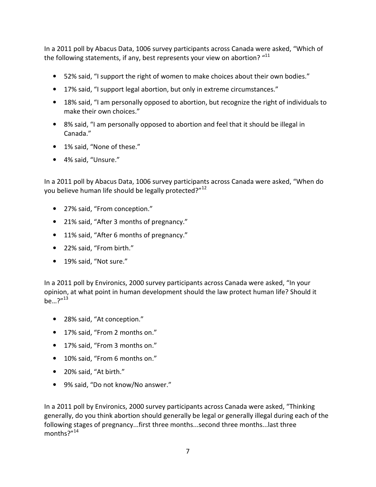In a 2011 poll by Abacus Data, 1006 survey participants across Canada were asked, "Which of the following statements, if any, best represents your view on abortion? "<sup>11</sup>

- 52% said, "I support the right of women to make choices about their own bodies."
- 17% said, "I support legal abortion, but only in extreme circumstances."
- 18% said, "I am personally opposed to abortion, but recognize the right of individuals to make their own choices."
- 8% said, "I am personally opposed to abortion and feel that it should be illegal in Canada."
- 1% said, "None of these."
- 4% said, "Unsure."

In a 2011 poll by Abacus Data, 1006 survey participants across Canada were asked, "When do you believe human life should be legally protected?"<sup>12</sup>

- 27% said, "From conception."
- 21% said, "After 3 months of pregnancy."
- 11% said, "After 6 months of pregnancy."
- 22% said, "From birth."
- 19% said, "Not sure."

In a 2011 poll by Environics, 2000 survey participants across Canada were asked, "In your opinion, at what point in human development should the law protect human life? Should it  $be...?''^{13}$ 

- 28% said, "At conception."
- 17% said, "From 2 months on."
- 17% said, "From 3 months on."
- 10% said, "From 6 months on."
- 20% said, "At birth."
- 9% said, "Do not know/No answer."

In a 2011 poll by Environics, 2000 survey participants across Canada were asked, "Thinking generally, do you think abortion should generally be legal or generally illegal during each of the following stages of pregnancy...first three months...second three months...last three months?"14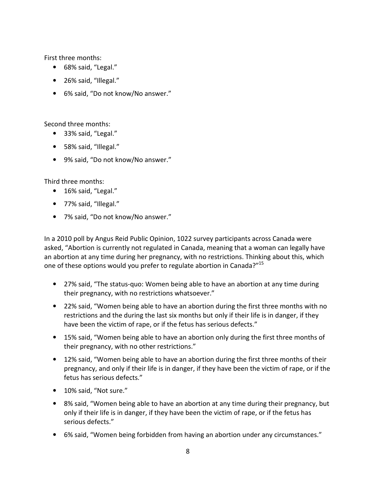First three months:

- 68% said, "Legal."
- 26% said, "Illegal."
- 6% said, "Do not know/No answer."

Second three months:

- 33% said, "Legal."
- 58% said, "Illegal."
- 9% said, "Do not know/No answer."

Third three months:

- 16% said, "Legal."
- 77% said, "Illegal."
- 7% said, "Do not know/No answer."

In a 2010 poll by Angus Reid Public Opinion, 1022 survey participants across Canada were asked, "Abortion is currently not regulated in Canada, meaning that a woman can legally have an abortion at any time during her pregnancy, with no restrictions. Thinking about this, which one of these options would you prefer to regulate abortion in Canada?"<sup>15</sup>

- 27% said, "The status-quo: Women being able to have an abortion at any time during their pregnancy, with no restrictions whatsoever."
- 22% said, "Women being able to have an abortion during the first three months with no restrictions and the during the last six months but only if their life is in danger, if they have been the victim of rape, or if the fetus has serious defects."
- 15% said, "Women being able to have an abortion only during the first three months of their pregnancy, with no other restrictions."
- 12% said, "Women being able to have an abortion during the first three months of their pregnancy, and only if their life is in danger, if they have been the victim of rape, or if the fetus has serious defects."
- 10% said, "Not sure."
- 8% said, "Women being able to have an abortion at any time during their pregnancy, but only if their life is in danger, if they have been the victim of rape, or if the fetus has serious defects."
- 6% said, "Women being forbidden from having an abortion under any circumstances."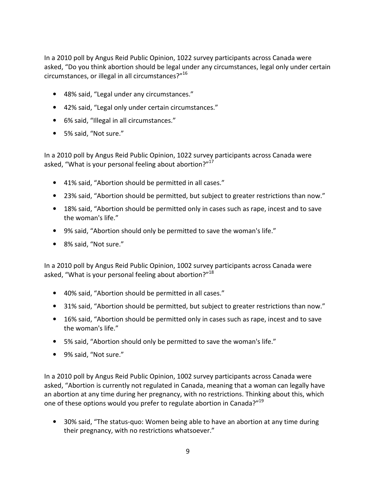In a 2010 poll by Angus Reid Public Opinion, 1022 survey participants across Canada were asked, "Do you think abortion should be legal under any circumstances, legal only under certain circumstances, or illegal in all circumstances?"<sup>16</sup>

- 48% said, "Legal under any circumstances."
- 42% said, "Legal only under certain circumstances."
- 6% said, "Illegal in all circumstances."
- 5% said, "Not sure."

In a 2010 poll by Angus Reid Public Opinion, 1022 survey participants across Canada were asked, "What is your personal feeling about abortion?"<sup>17</sup>

- 41% said, "Abortion should be permitted in all cases."
- 23% said, "Abortion should be permitted, but subject to greater restrictions than now."
- 18% said, "Abortion should be permitted only in cases such as rape, incest and to save the woman's life."
- 9% said, "Abortion should only be permitted to save the woman's life."
- 8% said, "Not sure."

In a 2010 poll by Angus Reid Public Opinion, 1002 survey participants across Canada were asked, "What is your personal feeling about abortion?"<sup>18</sup>

- 40% said, "Abortion should be permitted in all cases."
- 31% said, "Abortion should be permitted, but subject to greater restrictions than now."
- 16% said, "Abortion should be permitted only in cases such as rape, incest and to save the woman's life."
- 5% said, "Abortion should only be permitted to save the woman's life."
- 9% said, "Not sure."

In a 2010 poll by Angus Reid Public Opinion, 1002 survey participants across Canada were asked, "Abortion is currently not regulated in Canada, meaning that a woman can legally have an abortion at any time during her pregnancy, with no restrictions. Thinking about this, which one of these options would you prefer to regulate abortion in Canada?"<sup>19</sup>

• 30% said, "The status-quo: Women being able to have an abortion at any time during their pregnancy, with no restrictions whatsoever."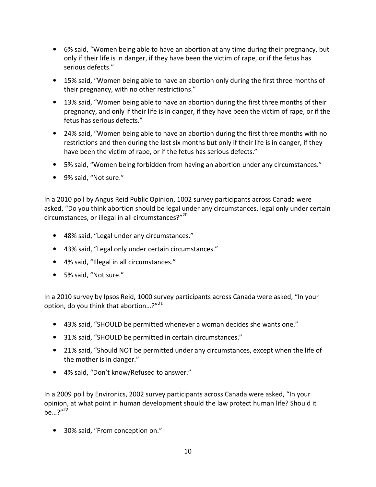- 6% said, "Women being able to have an abortion at any time during their pregnancy, but only if their life is in danger, if they have been the victim of rape, or if the fetus has serious defects."
- 15% said, "Women being able to have an abortion only during the first three months of their pregnancy, with no other restrictions."
- 13% said, "Women being able to have an abortion during the first three months of their pregnancy, and only if their life is in danger, if they have been the victim of rape, or if the fetus has serious defects."
- 24% said, "Women being able to have an abortion during the first three months with no restrictions and then during the last six months but only if their life is in danger, if they have been the victim of rape, or if the fetus has serious defects."
- 5% said, "Women being forbidden from having an abortion under any circumstances."
- 9% said, "Not sure."

In a 2010 poll by Angus Reid Public Opinion, 1002 survey participants across Canada were asked, "Do you think abortion should be legal under any circumstances, legal only under certain circumstances, or illegal in all circumstances?"20

- 48% said, "Legal under any circumstances."
- 43% said, "Legal only under certain circumstances."
- 4% said, "Illegal in all circumstances."
- 5% said, "Not sure."

In a 2010 survey by Ipsos Reid, 1000 survey participants across Canada were asked, "In your option, do you think that abortion...?" $^{21}$ 

- 43% said, "SHOULD be permitted whenever a woman decides she wants one."
- 31% said, "SHOULD be permitted in certain circumstances."
- 21% said, "Should NOT be permitted under any circumstances, except when the life of the mother is in danger."
- 4% said, "Don't know/Refused to answer."

In a 2009 poll by Environics, 2002 survey participants across Canada were asked, "In your opinion, at what point in human development should the law protect human life? Should it  $be...?''^{22}$ 

• 30% said, "From conception on."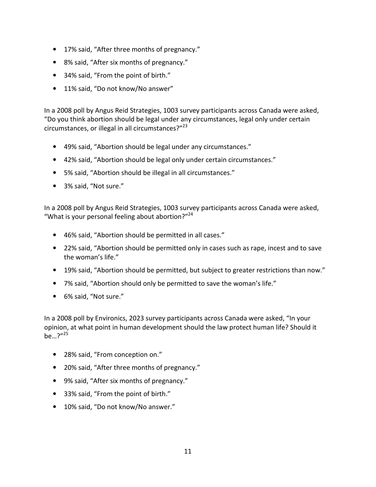- 17% said, "After three months of pregnancy."
- 8% said, "After six months of pregnancy."
- 34% said, "From the point of birth."
- 11% said, "Do not know/No answer"

In a 2008 poll by Angus Reid Strategies, 1003 survey participants across Canada were asked, "Do you think abortion should be legal under any circumstances, legal only under certain circumstances, or illegal in all circumstances?"<sup>23</sup>

- 49% said, "Abortion should be legal under any circumstances."
- 42% said, "Abortion should be legal only under certain circumstances."
- 5% said, "Abortion should be illegal in all circumstances."
- 3% said, "Not sure."

In a 2008 poll by Angus Reid Strategies, 1003 survey participants across Canada were asked, "What is your personal feeling about abortion?"<sup>24</sup>

- 46% said, "Abortion should be permitted in all cases."
- 22% said, "Abortion should be permitted only in cases such as rape, incest and to save the woman's life."
- 19% said, "Abortion should be permitted, but subject to greater restrictions than now."
- 7% said, "Abortion should only be permitted to save the woman's life."
- 6% said, "Not sure."

In a 2008 poll by Environics, 2023 survey participants across Canada were asked, "In your opinion, at what point in human development should the law protect human life? Should it  $be...$ ?"<sup>25</sup>

- 28% said, "From conception on."
- 20% said, "After three months of pregnancy."
- 9% said, "After six months of pregnancy."
- 33% said, "From the point of birth."
- 10% said, "Do not know/No answer."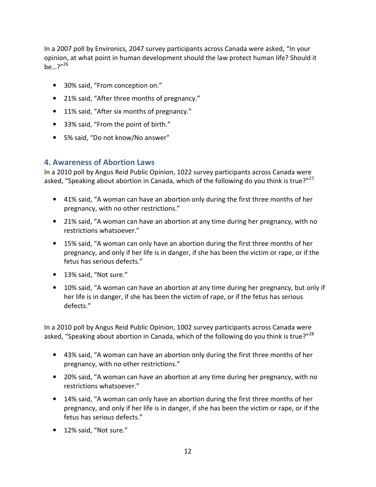In a 2007 poll by Environics, 2047 survey participants across Canada were asked, "In your opinion, at what point in human development should the law protect human life? Should it  $he...$ ?"<sup>26</sup>

- 30% said, "From conception on."
- 21% said, "After three months of pregnancy."
- 11% said, "After six months of pregnancy."
- 33% said, "From the point of birth."
- 5% said, "Do not know/No answer"

#### **4. Awareness of Abortion Laws**

In a 2010 poll by Angus Reid Public Opinion, 1022 survey participants across Canada were asked, "Speaking about abortion in Canada, which of the following do you think is true?"<sup>27</sup>

- 41% said, "A woman can have an abortion only during the first three months of her pregnancy, with no other restrictions."
- 21% said, "A woman can have an abortion at any time during her pregnancy, with no restrictions whatsoever."
- 15% said, "A woman can only have an abortion during the first three months of her pregnancy, and only if her life is in danger, if she has been the victim or rape, or if the fetus has serious defects."
- 13% said, "Not sure."
- 10% said, "A woman can have an abortion at any time during her pregnancy, but only if her life is in danger, if she has been the victim of rape, or if the fetus has serious defects."

In a 2010 poll by Angus Reid Public Opinion, 1002 survey participants across Canada were asked, "Speaking about abortion in Canada, which of the following do you think is true?"<sup>28</sup>

- 43% said, "A woman can have an abortion only during the first three months of her pregnancy, with no other restrictions."
- 20% said, "A woman can have an abortion at any time during her pregnancy, with no restrictions whatsoever."
- 14% said, "A woman can only have an abortion during the first three months of her pregnancy, and only if her life is in danger, if she has been the victim or rape, or if the fetus has serious defects."
- 12% said, "Not sure."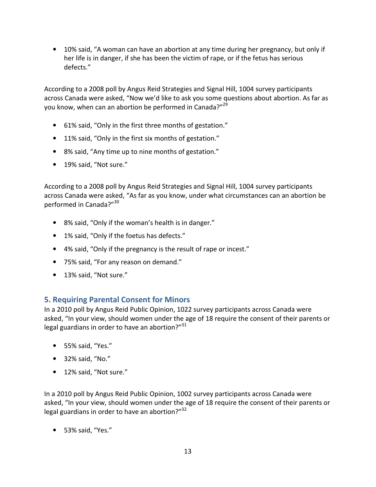• 10% said, "A woman can have an abortion at any time during her pregnancy, but only if her life is in danger, if she has been the victim of rape, or if the fetus has serious defects."

According to a 2008 poll by Angus Reid Strategies and Signal Hill, 1004 survey participants across Canada were asked, "Now we'd like to ask you some questions about abortion. As far as you know, when can an abortion be performed in Canada?"<sup>29</sup>

- 61% said, "Only in the first three months of gestation."
- 11% said, "Only in the first six months of gestation."
- 8% said, "Any time up to nine months of gestation."
- 19% said, "Not sure."

According to a 2008 poll by Angus Reid Strategies and Signal Hill, 1004 survey participants across Canada were asked, "As far as you know, under what circumstances can an abortion be performed in Canada?"<sup>30</sup>

- 8% said, "Only if the woman's health is in danger."
- 1% said, "Only if the foetus has defects."
- 4% said, "Only if the pregnancy is the result of rape or incest."
- 75% said, "For any reason on demand."
- 13% said, "Not sure."

# **5. Requiring Parental Consent for Minors**

In a 2010 poll by Angus Reid Public Opinion, 1022 survey participants across Canada were asked, "In your view, should women under the age of 18 require the consent of their parents or legal guardians in order to have an abortion?" $31$ 

- 55% said, "Yes."
- 32% said, "No."
- 12% said, "Not sure."

In a 2010 poll by Angus Reid Public Opinion, 1002 survey participants across Canada were asked, "In your view, should women under the age of 18 require the consent of their parents or legal guardians in order to have an abortion?"<sup>32</sup>

• 53% said, "Yes."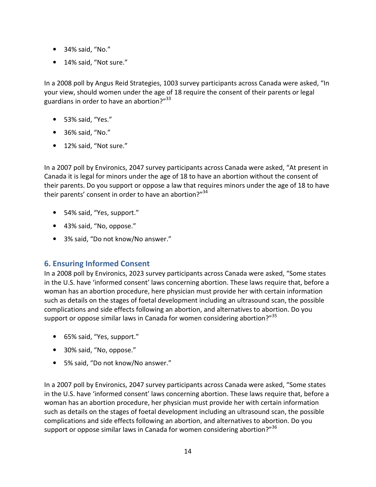- 34% said, "No."
- 14% said, "Not sure."

In a 2008 poll by Angus Reid Strategies, 1003 survey participants across Canada were asked, "In your view, should women under the age of 18 require the consent of their parents or legal guardians in order to have an abortion?"<sup>33</sup>

- 53% said, "Yes."
- 36% said, "No."
- 12% said, "Not sure."

In a 2007 poll by Environics, 2047 survey participants across Canada were asked, "At present in Canada it is legal for minors under the age of 18 to have an abortion without the consent of their parents. Do you support or oppose a law that requires minors under the age of 18 to have their parents' consent in order to have an abortion?"<sup>34</sup>

- 54% said, "Yes, support."
- 43% said, "No, oppose."
- 3% said, "Do not know/No answer."

# **6. Ensuring Informed Consent**

In a 2008 poll by Environics, 2023 survey participants across Canada were asked, "Some states in the U.S. have 'informed consent' laws concerning abortion. These laws require that, before a woman has an abortion procedure, here physician must provide her with certain information such as details on the stages of foetal development including an ultrasound scan, the possible complications and side effects following an abortion, and alternatives to abortion. Do you support or oppose similar laws in Canada for women considering abortion?"<sup>35</sup>

- 65% said, "Yes, support."
- 30% said, "No, oppose."
- 5% said, "Do not know/No answer."

In a 2007 poll by Environics, 2047 survey participants across Canada were asked, "Some states in the U.S. have 'informed consent' laws concerning abortion. These laws require that, before a woman has an abortion procedure, her physician must provide her with certain information such as details on the stages of foetal development including an ultrasound scan, the possible complications and side effects following an abortion, and alternatives to abortion. Do you support or oppose similar laws in Canada for women considering abortion?"<sup>36</sup>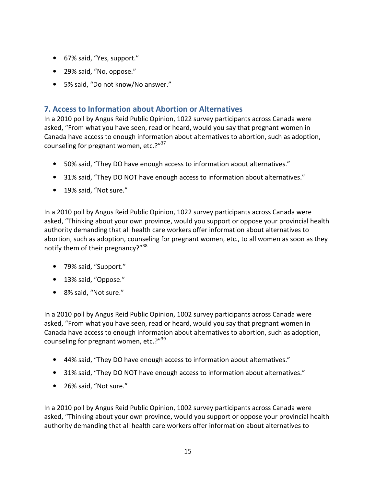- 67% said, "Yes, support."
- 29% said, "No, oppose."
- 5% said, "Do not know/No answer."

### **7. Access to Information about Abortion or Alternatives**

In a 2010 poll by Angus Reid Public Opinion, 1022 survey participants across Canada were asked, "From what you have seen, read or heard, would you say that pregnant women in Canada have access to enough information about alternatives to abortion, such as adoption, counseling for pregnant women, etc.?"<sup>37</sup>

- 50% said, "They DO have enough access to information about alternatives."
- 31% said, "They DO NOT have enough access to information about alternatives."
- 19% said, "Not sure."

In a 2010 poll by Angus Reid Public Opinion, 1022 survey participants across Canada were asked, "Thinking about your own province, would you support or oppose your provincial health authority demanding that all health care workers offer information about alternatives to abortion, such as adoption, counseling for pregnant women, etc., to all women as soon as they notify them of their pregnancy?"<sup>38</sup>

- 79% said, "Support."
- 13% said, "Oppose."
- 8% said, "Not sure."

In a 2010 poll by Angus Reid Public Opinion, 1002 survey participants across Canada were asked, "From what you have seen, read or heard, would you say that pregnant women in Canada have access to enough information about alternatives to abortion, such as adoption, counseling for pregnant women, etc.?"<sup>39</sup>

- 44% said, "They DO have enough access to information about alternatives."
- 31% said, "They DO NOT have enough access to information about alternatives."
- 26% said, "Not sure."

In a 2010 poll by Angus Reid Public Opinion, 1002 survey participants across Canada were asked, "Thinking about your own province, would you support or oppose your provincial health authority demanding that all health care workers offer information about alternatives to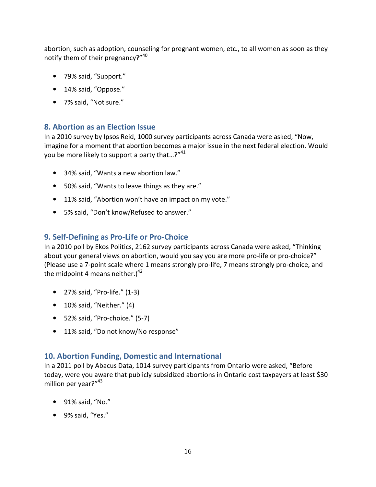abortion, such as adoption, counseling for pregnant women, etc., to all women as soon as they notify them of their pregnancy?"<sup>40</sup>

- 79% said, "Support."
- 14% said, "Oppose."
- 7% said, "Not sure."

### **8. Abortion as an Election Issue**

In a 2010 survey by Ipsos Reid, 1000 survey participants across Canada were asked, "Now, imagine for a moment that abortion becomes a major issue in the next federal election. Would you be more likely to support a party that...?"<sup>41</sup>

- 34% said, "Wants a new abortion law."
- 50% said, "Wants to leave things as they are."
- 11% said, "Abortion won't have an impact on my vote."
- 5% said, "Don't know/Refused to answer."

# **9. Self-Defining as Pro-Life or Pro-Choice**

In a 2010 poll by Ekos Politics, 2162 survey participants across Canada were asked, "Thinking about your general views on abortion, would you say you are more pro-life or pro-choice?" (Please use a 7-point scale where 1 means strongly pro-life, 7 means strongly pro-choice, and the midpoint 4 means neither.) $42$ 

- 27% said, "Pro-life." (1-3)
- 10% said, "Neither." (4)
- 52% said, "Pro-choice." (5-7)
- 11% said, "Do not know/No response"

# **10. Abortion Funding, Domestic and International**

In a 2011 poll by Abacus Data, 1014 survey participants from Ontario were asked, "Before today, were you aware that publicly subsidized abortions in Ontario cost taxpayers at least \$30 million per year?"<sup>43</sup>

- 91% said, "No."
- 9% said, "Yes."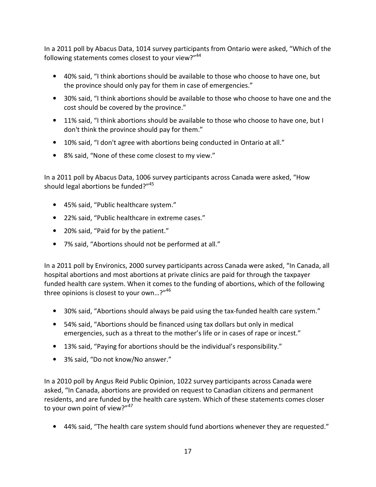In a 2011 poll by Abacus Data, 1014 survey participants from Ontario were asked, "Which of the following statements comes closest to your view?"44

- 40% said, "I think abortions should be available to those who choose to have one, but the province should only pay for them in case of emergencies."
- 30% said, "I think abortions should be available to those who choose to have one and the cost should be covered by the province."
- 11% said, "I think abortions should be available to those who choose to have one, but I don't think the province should pay for them."
- 10% said, "I don't agree with abortions being conducted in Ontario at all."
- 8% said, "None of these come closest to my view."

In a 2011 poll by Abacus Data, 1006 survey participants across Canada were asked, "How should legal abortions be funded?"<sup>45</sup>

- 45% said, "Public healthcare system."
- 22% said, "Public healthcare in extreme cases."
- 20% said, "Paid for by the patient."
- 7% said, "Abortions should not be performed at all."

In a 2011 poll by Environics, 2000 survey participants across Canada were asked, "In Canada, all hospital abortions and most abortions at private clinics are paid for through the taxpayer funded health care system. When it comes to the funding of abortions, which of the following three opinions is closest to your own...?"<sup>46</sup>

- 30% said, "Abortions should always be paid using the tax-funded health care system."
- 54% said, "Abortions should be financed using tax dollars but only in medical emergencies, such as a threat to the mother's life or in cases of rape or incest."
- 13% said, "Paying for abortions should be the individual's responsibility."
- 3% said, "Do not know/No answer."

In a 2010 poll by Angus Reid Public Opinion, 1022 survey participants across Canada were asked, "In Canada, abortions are provided on request to Canadian citizens and permanent residents, and are funded by the health care system. Which of these statements comes closer to your own point of view?"<sup>47</sup>

• 44% said, "The health care system should fund abortions whenever they are requested."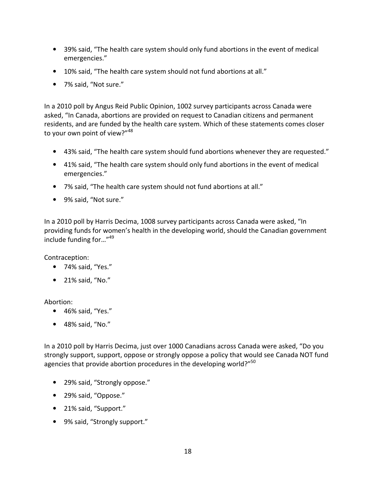- 39% said, "The health care system should only fund abortions in the event of medical emergencies."
- 10% said, "The health care system should not fund abortions at all."
- 7% said, "Not sure."

In a 2010 poll by Angus Reid Public Opinion, 1002 survey participants across Canada were asked, "In Canada, abortions are provided on request to Canadian citizens and permanent residents, and are funded by the health care system. Which of these statements comes closer to your own point of view?"<sup>48</sup>

- 43% said, "The health care system should fund abortions whenever they are requested."
- 41% said, "The health care system should only fund abortions in the event of medical emergencies."
- 7% said, "The health care system should not fund abortions at all."
- 9% said, "Not sure."

In a 2010 poll by Harris Decima, 1008 survey participants across Canada were asked, "In providing funds for women's health in the developing world, should the Canadian government include funding for…"<sup>49</sup>

Contraception:

- 74% said, "Yes."
- 21% said, "No."

#### Abortion:

- 46% said, "Yes."
- 48% said, "No."

In a 2010 poll by Harris Decima, just over 1000 Canadians across Canada were asked, "Do you strongly support, support, oppose or strongly oppose a policy that would see Canada NOT fund agencies that provide abortion procedures in the developing world?"<sup>50</sup>

- 29% said, "Strongly oppose."
- 29% said, "Oppose."
- 21% said, "Support."
- 9% said, "Strongly support."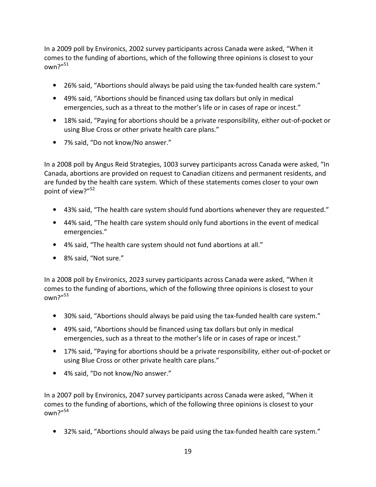In a 2009 poll by Environics, 2002 survey participants across Canada were asked, "When it comes to the funding of abortions, which of the following three opinions is closest to your own?"<sup>51</sup>

- 26% said, "Abortions should always be paid using the tax-funded health care system."
- 49% said, "Abortions should be financed using tax dollars but only in medical emergencies, such as a threat to the mother's life or in cases of rape or incest."
- 18% said, "Paying for abortions should be a private responsibility, either out-of-pocket or using Blue Cross or other private health care plans."
- 7% said, "Do not know/No answer."

In a 2008 poll by Angus Reid Strategies, 1003 survey participants across Canada were asked, "In Canada, abortions are provided on request to Canadian citizens and permanent residents, and are funded by the health care system. Which of these statements comes closer to your own point of view?"<sup>52</sup>

- 43% said, "The health care system should fund abortions whenever they are requested."
- 44% said, "The health care system should only fund abortions in the event of medical emergencies."
- 4% said, "The health care system should not fund abortions at all."
- 8% said, "Not sure."

In a 2008 poll by Environics, 2023 survey participants across Canada were asked, "When it comes to the funding of abortions, which of the following three opinions is closest to your own?"<sup>53</sup>

- 30% said, "Abortions should always be paid using the tax-funded health care system."
- 49% said, "Abortions should be financed using tax dollars but only in medical emergencies, such as a threat to the mother's life or in cases of rape or incest."
- 17% said, "Paying for abortions should be a private responsibility, either out-of-pocket or using Blue Cross or other private health care plans."
- 4% said, "Do not know/No answer."

In a 2007 poll by Environics, 2047 survey participants across Canada were asked, "When it comes to the funding of abortions, which of the following three opinions is closest to your own?"<sup>54</sup>

• 32% said, "Abortions should always be paid using the tax-funded health care system."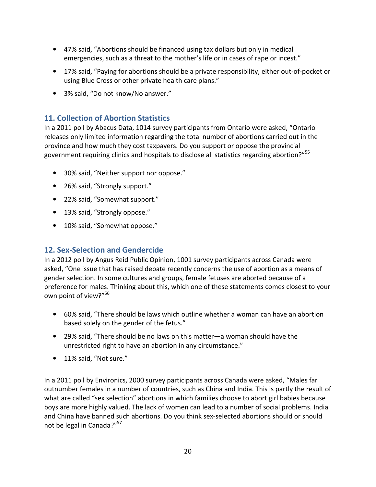- 47% said, "Abortions should be financed using tax dollars but only in medical emergencies, such as a threat to the mother's life or in cases of rape or incest."
- 17% said, "Paying for abortions should be a private responsibility, either out-of-pocket or using Blue Cross or other private health care plans."
- 3% said, "Do not know/No answer."

### **11. Collection of Abortion Statistics**

In a 2011 poll by Abacus Data, 1014 survey participants from Ontario were asked, "Ontario releases only limited information regarding the total number of abortions carried out in the province and how much they cost taxpayers. Do you support or oppose the provincial government requiring clinics and hospitals to disclose all statistics regarding abortion?"<sup>55</sup>

- 30% said, "Neither support nor oppose."
- 26% said, "Strongly support."
- 22% said, "Somewhat support."
- 13% said, "Strongly oppose."
- 10% said, "Somewhat oppose."

#### **12. Sex-Selection and Gendercide**

In a 2012 poll by Angus Reid Public Opinion, 1001 survey participants across Canada were asked, "One issue that has raised debate recently concerns the use of abortion as a means of gender selection. In some cultures and groups, female fetuses are aborted because of a preference for males. Thinking about this, which one of these statements comes closest to your own point of view?"<sup>56</sup>

- 60% said, "There should be laws which outline whether a woman can have an abortion based solely on the gender of the fetus."
- 29% said, "There should be no laws on this matter—a woman should have the unrestricted right to have an abortion in any circumstance."
- 11% said, "Not sure."

In a 2011 poll by Environics, 2000 survey participants across Canada were asked, "Males far outnumber females in a number of countries, such as China and India. This is partly the result of what are called "sex selection" abortions in which families choose to abort girl babies because boys are more highly valued. The lack of women can lead to a number of social problems. India and China have banned such abortions. Do you think sex-selected abortions should or should not be legal in Canada?"<sup>57</sup>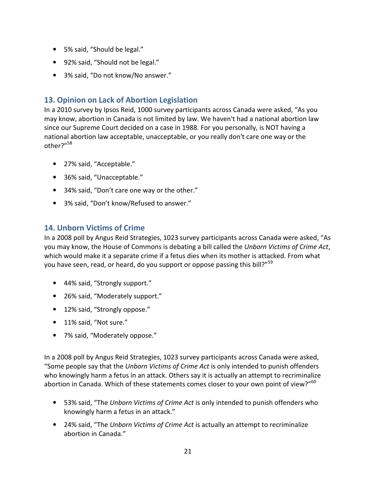- 5% said, "Should be legal."
- 92% said, "Should not be legal."
- 3% said, "Do not know/No answer."

# **13. Opinion on Lack of Abortion Legislation**

In a 2010 survey by Ipsos Reid, 1000 survey participants across Canada were asked, "As you may know, abortion in Canada is not limited by law. We haven't had a national abortion law since our Supreme Court decided on a case in 1988. For you personally, is NOT having a national abortion law acceptable, unacceptable, or you really don't care one way or the other?"<sup>58</sup>

- 27% said, "Acceptable."
- 36% said, "Unacceptable."
- 34% said, "Don't care one way or the other."
- 3% said, "Don't know/Refused to answer."

# **14. Unborn Victims of Crime**

In a 2008 poll by Angus Reid Strategies, 1023 survey participants across Canada were asked, "As you may know, the House of Commons is debating a bill called the *Unborn Victims of Crime Act*, which would make it a separate crime if a fetus dies when its mother is attacked. From what you have seen, read, or heard, do you support or oppose passing this bill?"<sup>59</sup>

- 44% said, "Strongly support."
- 26% said, "Moderately support."
- 12% said, "Strongly oppose."
- 11% said, "Not sure."
- 7% said, "Moderately oppose."

In a 2008 poll by Angus Reid Strategies, 1023 survey participants across Canada were asked, "Some people say that the *Unborn Victims of Crime Act* is only intended to punish offenders who knowingly harm a fetus in an attack. Others say it is actually an attempt to recriminalize abortion in Canada. Which of these statements comes closer to your own point of view?"<sup>60</sup>

- 53% said, "The *Unborn Victims of Crime Act* is only intended to punish offenders who knowingly harm a fetus in an attack."
- 24% said, "The *Unborn Victims of Crime Act* is actually an attempt to recriminalize abortion in Canada."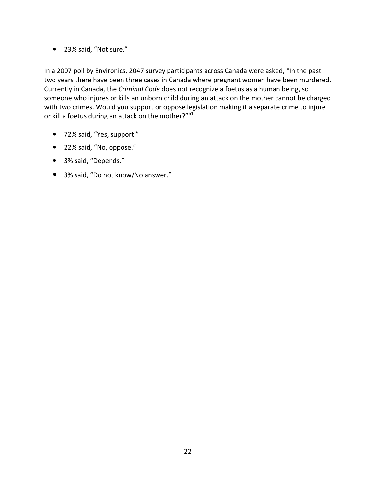• 23% said, "Not sure."

In a 2007 poll by Environics, 2047 survey participants across Canada were asked, "In the past two years there have been three cases in Canada where pregnant women have been murdered. Currently in Canada, the *Criminal Code* does not recognize a foetus as a human being, so someone who injures or kills an unborn child during an attack on the mother cannot be charged with two crimes. Would you support or oppose legislation making it a separate crime to injure or kill a foetus during an attack on the mother?"<sup>61</sup>

- 72% said, "Yes, support."
- 22% said, "No, oppose."
- 3% said, "Depends."
- 3% said, "Do not know/No answer."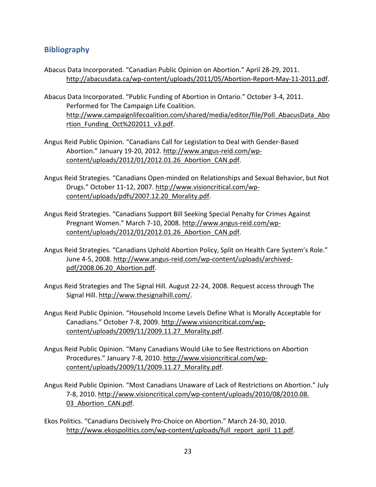### **Bibliography**

- Abacus Data Incorporated. "Canadian Public Opinion on Abortion." April 28-29, 2011. http://abacusdata.ca/wp-content/uploads/2011/05/Abortion-Report-May-11-2011.pdf.
- Abacus Data Incorporated. "Public Funding of Abortion in Ontario." October 3-4, 2011. Performed for The Campaign Life Coalition. http://www.campaignlifecoalition.com/shared/media/editor/file/Poll AbacusData Abo rtion\_Funding\_Oct%202011\_v3.pdf.
- Angus Reid Public Opinion. "Canadians Call for Legislation to Deal with Gender-Based Abortion." January 19-20, 2012. http://www.angus-reid.com/wpcontent/uploads/2012/01/2012.01.26\_Abortion\_CAN.pdf.
- Angus Reid Strategies. "Canadians Open-minded on Relationships and Sexual Behavior, but Not Drugs." October 11-12, 2007. http://www.visioncritical.com/wpcontent/uploads/pdfs/2007.12.20\_Morality.pdf.
- Angus Reid Strategies. "Canadians Support Bill Seeking Special Penalty for Crimes Against Pregnant Women." March 7-10, 2008. http://www.angus-reid.com/wpcontent/uploads/2012/01/2012.01.26\_Abortion\_CAN.pdf.
- Angus Reid Strategies. "Canadians Uphold Abortion Policy, Split on Health Care System's Role." June 4-5, 2008. http://www.angus-reid.com/wp-content/uploads/archivedpdf/2008.06.20\_Abortion.pdf.
- Angus Reid Strategies and The Signal Hill. August 22-24, 2008. Request access through The Signal Hill. http://www.thesignalhill.com/.
- Angus Reid Public Opinion. "Household Income Levels Define What is Morally Acceptable for Canadians." October 7-8, 2009. http://www.visioncritical.com/wpcontent/uploads/2009/11/2009.11.27\_Morality.pdf.
- Angus Reid Public Opinion. "Many Canadians Would Like to See Restrictions on Abortion Procedures." January 7-8, 2010. http://www.visioncritical.com/wpcontent/uploads/2009/11/2009.11.27\_Morality.pdf.
- Angus Reid Public Opinion. "Most Canadians Unaware of Lack of Restrictions on Abortion." July 7-8, 2010. http://www.visioncritical.com/wp-content/uploads/2010/08/2010.08. 03 Abortion CAN.pdf.
- Ekos Politics. "Canadians Decisively Pro-Choice on Abortion." March 24-30, 2010. http://www.ekospolitics.com/wp-content/uploads/full\_report\_april\_11.pdf.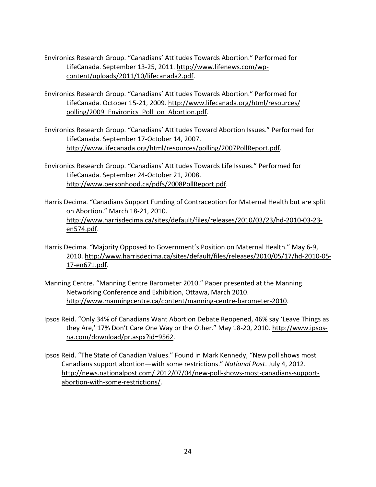- Environics Research Group. "Canadians' Attitudes Towards Abortion." Performed for LifeCanada. September 13-25, 2011. http://www.lifenews.com/wpcontent/uploads/2011/10/lifecanada2.pdf.
- Environics Research Group. "Canadians' Attitudes Towards Abortion." Performed for LifeCanada. October 15-21, 2009. http://www.lifecanada.org/html/resources/ polling/2009 Environics Poll on Abortion.pdf.
- Environics Research Group. "Canadians' Attitudes Toward Abortion Issues." Performed for LifeCanada. September 17-October 14, 2007. http://www.lifecanada.org/html/resources/polling/2007PollReport.pdf.
- Environics Research Group. "Canadians' Attitudes Towards Life Issues." Performed for LifeCanada. September 24-October 21, 2008. http://www.personhood.ca/pdfs/2008PollReport.pdf.
- Harris Decima. "Canadians Support Funding of Contraception for Maternal Health but are split on Abortion." March 18-21, 2010. http://www.harrisdecima.ca/sites/default/files/releases/2010/03/23/hd-2010-03-23 en574.pdf.
- Harris Decima. "Majority Opposed to Government's Position on Maternal Health." May 6-9, 2010. http://www.harrisdecima.ca/sites/default/files/releases/2010/05/17/hd-2010-05- 17-en671.pdf.
- Manning Centre. "Manning Centre Barometer 2010." Paper presented at the Manning Networking Conference and Exhibition, Ottawa, March 2010. http://www.manningcentre.ca/content/manning-centre-barometer-2010.
- Ipsos Reid. "Only 34% of Canadians Want Abortion Debate Reopened, 46% say 'Leave Things as they Are,' 17% Don't Care One Way or the Other." May 18-20, 2010. http://www.ipsosna.com/download/pr.aspx?id=9562.
- Ipsos Reid. "The State of Canadian Values." Found in Mark Kennedy, "New poll shows most Canadians support abortion—with some restrictions." *National Post*. July 4, 2012. http://news.nationalpost.com/ 2012/07/04/new-poll-shows-most-canadians-supportabortion-with-some-restrictions/.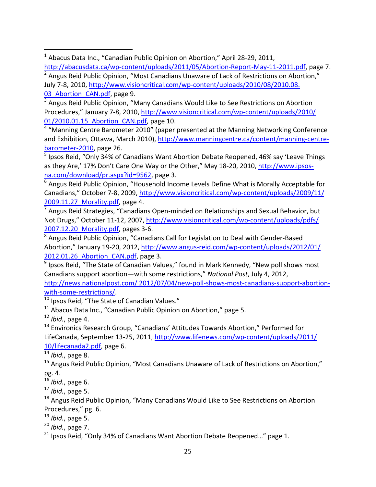<sup>3</sup> Angus Reid Public Opinion, "Many Canadians Would Like to See Restrictions on Abortion Procedures," January 7-8, 2010, http://www.visioncritical.com/wp-content/uploads/2010/ 01/2010.01.15 Abortion CAN.pdf, page 10.

<sup>4</sup> "Manning Centre Barometer 2010" (paper presented at the Manning Networking Conference and Exhibition, Ottawa, March 2010), http://www.manningcentre.ca/content/manning-centrebarometer-2010, page 26.

<sup>5</sup> Ipsos Reid, "Only 34% of Canadians Want Abortion Debate Reopened, 46% say 'Leave Things as they Are,' 17% Don't Care One Way or the Other," May 18-20, 2010, http://www.ipsosna.com/download/pr.aspx?id=9562, page 3.

<sup>6</sup> Angus Reid Public Opinion, "Household Income Levels Define What is Morally Acceptable for Canadians," October 7-8, 2009, http://www.visioncritical.com/wp-content/uploads/2009/11/ 2009.11.27 Morality.pdf, page 4.

<sup>7</sup> Angus Reid Strategies, "Canadians Open-minded on Relationships and Sexual Behavior, but Not Drugs," October 11-12, 2007, http://www.visioncritical.com/wp-content/uploads/pdfs/ 2007.12.20\_Morality.pdf, pages 3-6.

<sup>8</sup> Angus Reid Public Opinion, "Canadians Call for Legislation to Deal with Gender-Based Abortion," January 19-20, 2012, http://www.angus-reid.com/wp-content/uploads/2012/01/ 2012.01.26 Abortion CAN.pdf, page 3.

<sup>9</sup> Ipsos Reid, "The State of Canadian Values," found in Mark Kennedy, "New poll shows most Canadians support abortion—with some restrictions," *National Post*, July 4, 2012, http://news.nationalpost.com/ 2012/07/04/new-poll-shows-most-canadians-support-abortion-

with-some-restrictions/.

 $10$  Ipsos Reid, "The State of Canadian Values."

 $11$  Abacus Data Inc., "Canadian Public Opinion on Abortion," page 5.

<sup>12</sup> *Ibid.*, page 4.

.

<sup>13</sup> Environics Research Group, "Canadians' Attitudes Towards Abortion," Performed for LifeCanada, September 13-25, 2011, http://www.lifenews.com/wp-content/uploads/2011/ 10/lifecanada2.pdf, page 6.

<sup>14</sup> *Ibid.*, page 8.

<sup>15</sup> Angus Reid Public Opinion, "Most Canadians Unaware of Lack of Restrictions on Abortion," pg. 4.

<sup>16</sup> *Ibid.*, page 6.

<sup>17</sup> *Ibid.*, page 5.

<sup>18</sup> Angus Reid Public Opinion, "Many Canadians Would Like to See Restrictions on Abortion Procedures," pg. 6.

<sup>19</sup> *Ibid.*, page 5.

<sup>20</sup> *Ibid.*, page 7.

<sup>21</sup> Ipsos Reid, "Only 34% of Canadians Want Abortion Debate Reopened..." page 1.

<sup>1</sup> Abacus Data Inc., "Canadian Public Opinion on Abortion," April 28-29, 2011, http://abacusdata.ca/wp-content/uploads/2011/05/Abortion-Report-May-11-2011.pdf, page 7.

 $2$  Angus Reid Public Opinion, "Most Canadians Unaware of Lack of Restrictions on Abortion," July 7-8, 2010, http://www.visioncritical.com/wp-content/uploads/2010/08/2010.08. 03 Abortion CAN.pdf, page 9.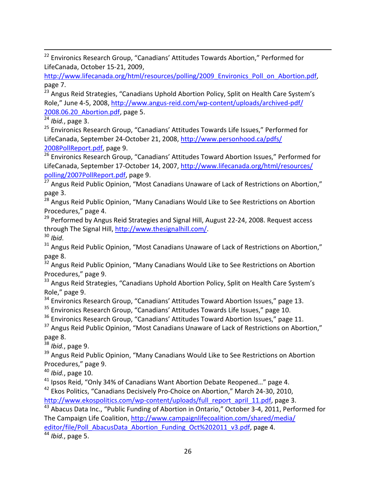<sup>22</sup> Environics Research Group, "Canadians' Attitudes Towards Abortion," Performed for LifeCanada, October 15-21, 2009,

http://www.lifecanada.org/html/resources/polling/2009 Environics Poll on Abortion.pdf, page 7.

<sup>23</sup> Angus Reid Strategies, "Canadians Uphold Abortion Policy, Split on Health Care System's Role," June 4-5, 2008, http://www.angus-reid.com/wp-content/uploads/archived-pdf/ 2008.06.20\_Abortion.pdf, page 5.

<sup>24</sup> *Ibid.*, page 3.

.

<sup>25</sup> Environics Research Group, "Canadians' Attitudes Towards Life Issues," Performed for LifeCanada, September 24-October 21, 2008, http://www.personhood.ca/pdfs/ 2008PollReport.pdf, page 9.

<sup>26</sup> Environics Research Group, "Canadians' Attitudes Toward Abortion Issues," Performed for LifeCanada, September 17-October 14, 2007, http://www.lifecanada.org/html/resources/ polling/2007PollReport.pdf, page 9.

 $27$  Angus Reid Public Opinion, "Most Canadians Unaware of Lack of Restrictions on Abortion," page 3.

<sup>28</sup> Angus Reid Public Opinion, "Many Canadians Would Like to See Restrictions on Abortion Procedures," page 4.

<sup>29</sup> Performed by Angus Reid Strategies and Signal Hill, August 22-24, 2008. Request access through The Signal Hill, http://www.thesignalhill.com/. <sup>30</sup> *Ibid*.

<sup>31</sup> Angus Reid Public Opinion, "Most Canadians Unaware of Lack of Restrictions on Abortion," page 8.

<sup>32</sup> Angus Reid Public Opinion, "Many Canadians Would Like to See Restrictions on Abortion Procedures," page 9.

<sup>33</sup> Angus Reid Strategies, "Canadians Uphold Abortion Policy, Split on Health Care System's Role," page 9.

<sup>34</sup> Environics Research Group, "Canadians' Attitudes Toward Abortion Issues," page 13.

<sup>35</sup> Environics Research Group, "Canadians' Attitudes Towards Life Issues," page 10.

<sup>36</sup> Environics Research Group, "Canadians' Attitudes Toward Abortion Issues," page 11.

 $37$  Angus Reid Public Opinion, "Most Canadians Unaware of Lack of Restrictions on Abortion," page 8.

<sup>38</sup> *Ibid.*, page 9.

<sup>39</sup> Angus Reid Public Opinion, "Many Canadians Would Like to See Restrictions on Abortion Procedures," page 9.

<sup>40</sup> *Ibid.*, page 10.

<sup>41</sup> Ipsos Reid, "Only 34% of Canadians Want Abortion Debate Reopened..." page 4.

<sup>42</sup> Ekos Politics, "Canadians Decisively Pro-Choice on Abortion," March 24-30, 2010, http://www.ekospolitics.com/wp-content/uploads/full\_report\_april\_11.pdf, page 3.

<sup>43</sup> Abacus Data Inc., "Public Funding of Abortion in Ontario," October 3-4, 2011, Performed for The Campaign Life Coalition, http://www.campaignlifecoalition.com/shared/media/

editor/file/Poll\_AbacusData\_Abortion\_Funding\_Oct%202011\_v3.pdf, page 4.

 $\frac{44}{4}$  *Ibid.*, page 5.